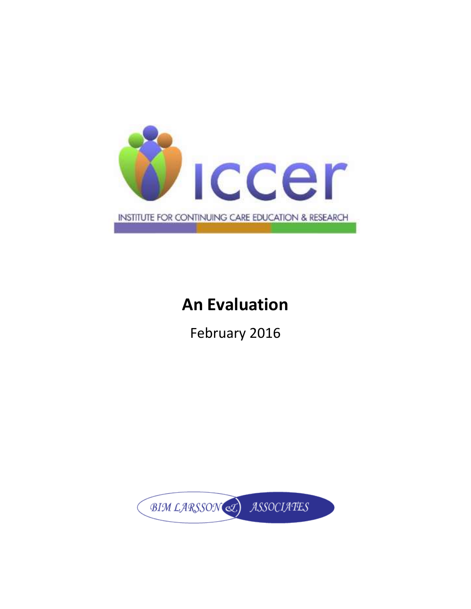

# **An Evaluation**

February 2016

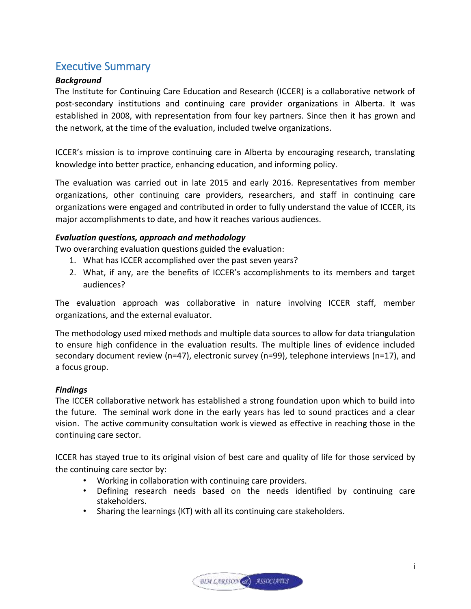## <span id="page-1-0"></span>Executive Summary

## *Background*

The Institute for Continuing Care Education and Research (ICCER) is a collaborative network of post-secondary institutions and continuing care provider organizations in Alberta. It was established in 2008, with representation from four key partners. Since then it has grown and the network, at the time of the evaluation, included twelve organizations.

ICCER's mission is to improve continuing care in Alberta by encouraging research, translating knowledge into better practice, enhancing education, and informing policy.

The evaluation was carried out in late 2015 and early 2016. Representatives from member organizations, other continuing care providers, researchers, and staff in continuing care organizations were engaged and contributed in order to fully understand the value of ICCER, its major accomplishments to date, and how it reaches various audiences.

## *Evaluation questions, approach and methodology*

Two overarching evaluation questions guided the evaluation:

- 1. What has ICCER accomplished over the past seven years?
- 2. What, if any, are the benefits of ICCER's accomplishments to its members and target audiences?

The evaluation approach was collaborative in nature involving ICCER staff, member organizations, and the external evaluator.

The methodology used mixed methods and multiple data sources to allow for data triangulation to ensure high confidence in the evaluation results. The multiple lines of evidence included secondary document review (n=47), electronic survey (n=99), telephone interviews (n=17), and a focus group.

## *Findings*

The ICCER collaborative network has established a strong foundation upon which to build into the future. The seminal work done in the early years has led to sound practices and a clear vision. The active community consultation work is viewed as effective in reaching those in the continuing care sector.

ICCER has stayed true to its original vision of best care and quality of life for those serviced by the continuing care sector by:

- Working in collaboration with continuing care providers.
- Defining research needs based on the needs identified by continuing care stakeholders.
- Sharing the learnings (KT) with all its continuing care stakeholders.

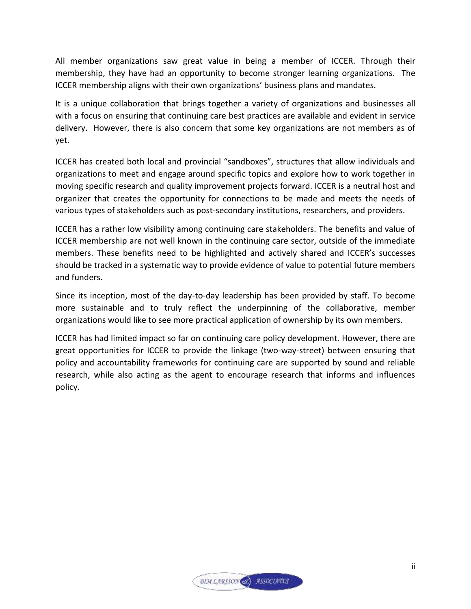All member organizations saw great value in being a member of ICCER. Through their membership, they have had an opportunity to become stronger learning organizations. The ICCER membership aligns with their own organizations' business plans and mandates.

It is a unique collaboration that brings together a variety of organizations and businesses all with a focus on ensuring that continuing care best practices are available and evident in service delivery. However, there is also concern that some key organizations are not members as of yet.

ICCER has created both local and provincial "sandboxes", structures that allow individuals and organizations to meet and engage around specific topics and explore how to work together in moving specific research and quality improvement projects forward. ICCER is a neutral host and organizer that creates the opportunity for connections to be made and meets the needs of various types of stakeholders such as post-secondary institutions, researchers, and providers.

ICCER has a rather low visibility among continuing care stakeholders. The benefits and value of ICCER membership are not well known in the continuing care sector, outside of the immediate members. These benefits need to be highlighted and actively shared and ICCER's successes should be tracked in a systematic way to provide evidence of value to potential future members and funders.

Since its inception, most of the day-to-day leadership has been provided by staff. To become more sustainable and to truly reflect the underpinning of the collaborative, member organizations would like to see more practical application of ownership by its own members.

ICCER has had limited impact so far on continuing care policy development. However, there are great opportunities for ICCER to provide the linkage (two-way-street) between ensuring that policy and accountability frameworks for continuing care are supported by sound and reliable research, while also acting as the agent to encourage research that informs and influences policy.

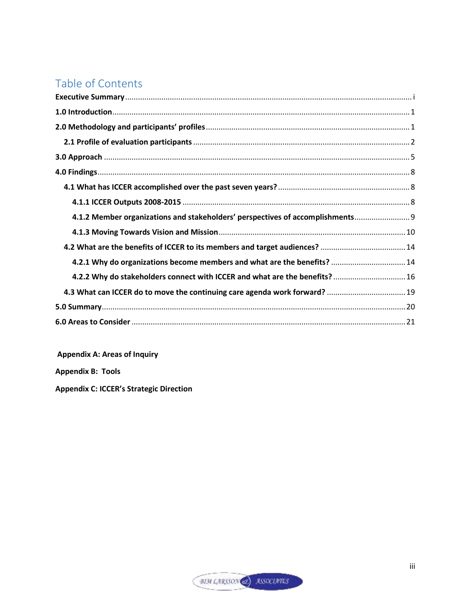## Table of Contents

| 4.1.2 Member organizations and stakeholders' perspectives of accomplishments 9 |  |
|--------------------------------------------------------------------------------|--|
|                                                                                |  |
| 4.2 What are the benefits of ICCER to its members and target audiences?  14    |  |
| 4.2.1 Why do organizations become members and what are the benefits?  14       |  |
| 4.2.2 Why do stakeholders connect with ICCER and what are the benefits?  16    |  |
| 4.3 What can ICCER do to move the continuing care agenda work forward?  19     |  |
|                                                                                |  |
|                                                                                |  |

**Appendix A: Areas of Inquiry** 

**Appendix B: Tools** 

**Appendix C: ICCER's Strategic Direction**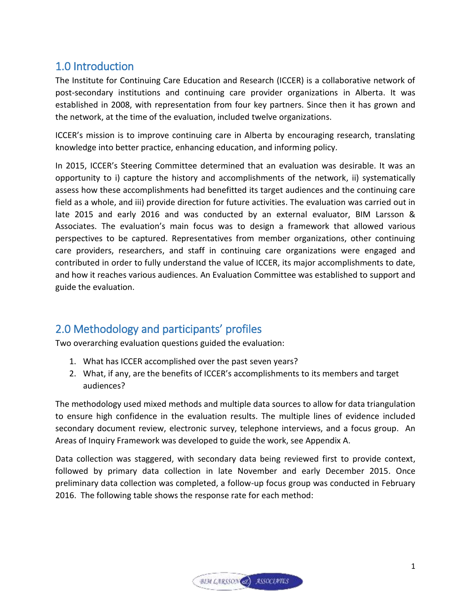## <span id="page-4-0"></span>1.0 Introduction

The Institute for Continuing Care Education and Research (ICCER) is a collaborative network of post-secondary institutions and continuing care provider organizations in Alberta. It was established in 2008, with representation from four key partners. Since then it has grown and the network, at the time of the evaluation, included twelve organizations.

ICCER's mission is to improve continuing care in Alberta by encouraging research, translating knowledge into better practice, enhancing education, and informing policy.

In 2015, ICCER's Steering Committee determined that an evaluation was desirable. It was an opportunity to i) capture the history and accomplishments of the network, ii) systematically assess how these accomplishments had benefitted its target audiences and the continuing care field as a whole, and iii) provide direction for future activities. The evaluation was carried out in late 2015 and early 2016 and was conducted by an external evaluator, BIM Larsson & Associates. The evaluation's main focus was to design a framework that allowed various perspectives to be captured. Representatives from member organizations, other continuing care providers, researchers, and staff in continuing care organizations were engaged and contributed in order to fully understand the value of ICCER, its major accomplishments to date, and how it reaches various audiences. An Evaluation Committee was established to support and guide the evaluation.

## <span id="page-4-1"></span>2.0 Methodology and participants' profiles

Two overarching evaluation questions guided the evaluation:

- 1. What has ICCER accomplished over the past seven years?
- 2. What, if any, are the benefits of ICCER's accomplishments to its members and target audiences?

The methodology used mixed methods and multiple data sources to allow for data triangulation to ensure high confidence in the evaluation results. The multiple lines of evidence included secondary document review, electronic survey, telephone interviews, and a focus group. An Areas of Inquiry Framework was developed to guide the work, see Appendix A.

Data collection was staggered, with secondary data being reviewed first to provide context, followed by primary data collection in late November and early December 2015. Once preliminary data collection was completed, a follow-up focus group was conducted in February 2016. The following table shows the response rate for each method:

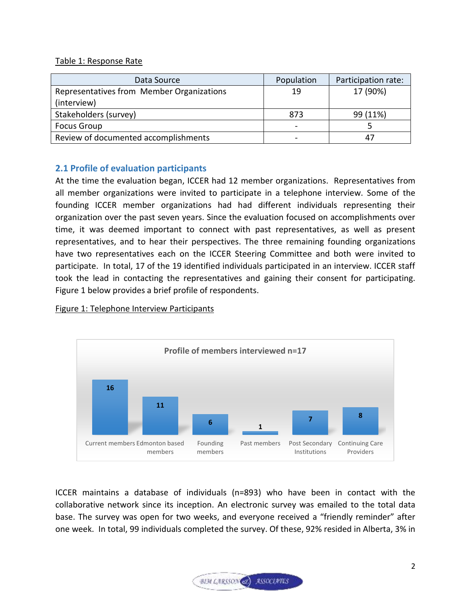### Table 1: Response Rate

| Data Source                               | Population | Participation rate: |
|-------------------------------------------|------------|---------------------|
| Representatives from Member Organizations | 19         | 17 (90%)            |
| (interview)                               |            |                     |
| Stakeholders (survey)                     | 873        | 99 (11%)            |
| <b>Focus Group</b>                        |            |                     |
| Review of documented accomplishments      |            | 47                  |

## <span id="page-5-0"></span>**2.1 Profile of evaluation participants**

At the time the evaluation began, ICCER had 12 member organizations. Representatives from all member organizations were invited to participate in a telephone interview. Some of the founding ICCER member organizations had had different individuals representing their organization over the past seven years. Since the evaluation focused on accomplishments over time, it was deemed important to connect with past representatives, as well as present representatives, and to hear their perspectives. The three remaining founding organizations have two representatives each on the ICCER Steering Committee and both were invited to participate. In total, 17 of the 19 identified individuals participated in an interview. ICCER staff took the lead in contacting the representatives and gaining their consent for participating. Figure 1 below provides a brief profile of respondents.

#### Figure 1: Telephone Interview Participants



ICCER maintains a database of individuals (n=893) who have been in contact with the collaborative network since its inception. An electronic survey was emailed to the total data base. The survey was open for two weeks, and everyone received a "friendly reminder" after one week. In total, 99 individuals completed the survey. Of these, 92% resided in Alberta, 3% in

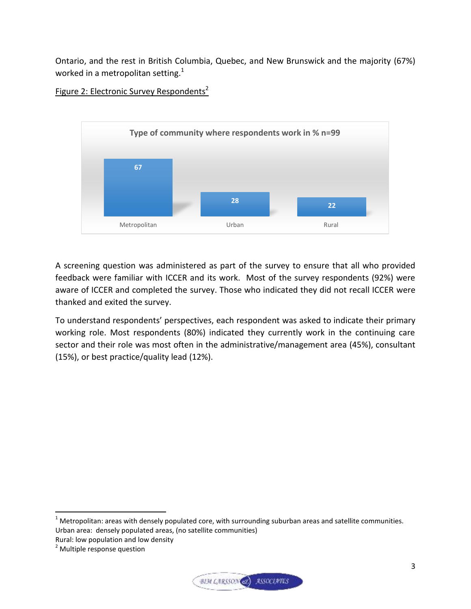Ontario, and the rest in British Columbia, Quebec, and New Brunswick and the majority (67%) worked in a metropolitan setting.<sup>1</sup>



Figure 2: Electronic Survey Respondents<sup>2</sup>

A screening question was administered as part of the survey to ensure that all who provided feedback were familiar with ICCER and its work. Most of the survey respondents (92%) were aware of ICCER and completed the survey. Those who indicated they did not recall ICCER were thanked and exited the survey.

To understand respondents' perspectives, each respondent was asked to indicate their primary working role. Most respondents (80%) indicated they currently work in the continuing care sector and their role was most often in the administrative/management area (45%), consultant (15%), or best practice/quality lead (12%).

 $\overline{a}$ 



 $<sup>1</sup>$  Metropolitan: areas with densely populated core, with surrounding suburban areas and satellite communities.</sup> Urban area: densely populated areas, (no satellite communities) Rural: low population and low density

<sup>&</sup>lt;sup>2</sup> Multiple response question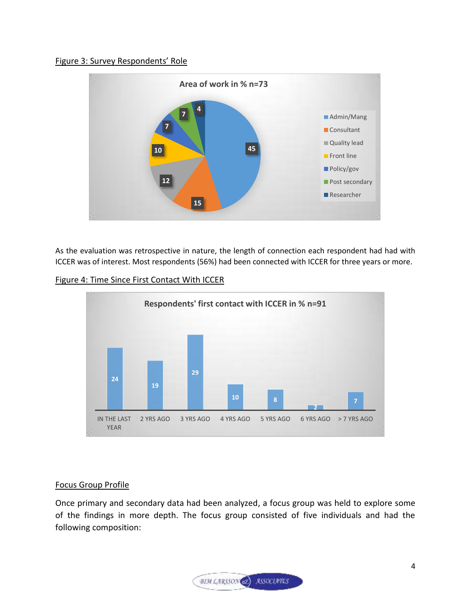#### Figure 3: Survey Respondents' Role



As the evaluation was retrospective in nature, the length of connection each respondent had had with ICCER was of interest. Most respondents (56%) had been connected with ICCER for three years or more.



#### Focus Group Profile

Once primary and secondary data had been analyzed, a focus group was held to explore some of the findings in more depth. The focus group consisted of five individuals and had the following composition:

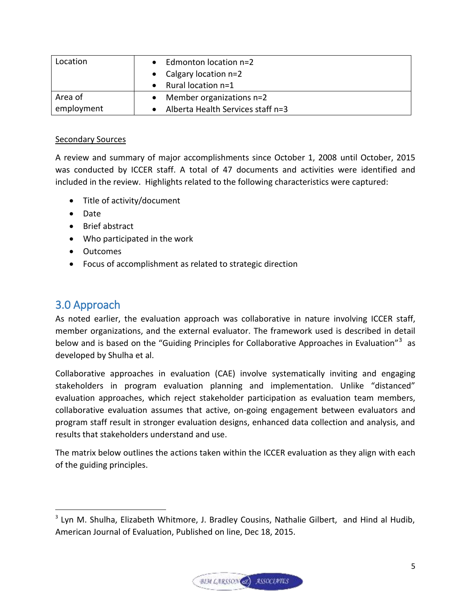| Location   | Edmonton location n=2             |
|------------|-----------------------------------|
|            | • Calgary location $n=2$          |
|            | Rural location n=1                |
| Area of    | Member organizations $n=2$        |
| employment | Alberta Health Services staff n=3 |

### Secondary Sources

A review and summary of major accomplishments since October 1, 2008 until October, 2015 was conducted by ICCER staff. A total of 47 documents and activities were identified and included in the review. Highlights related to the following characteristics were captured:

- Title of activity/document
- Date
- Brief abstract
- Who participated in the work
- Outcomes
- Focus of accomplishment as related to strategic direction

## <span id="page-8-0"></span>3.0 Approach

 $\overline{a}$ 

As noted earlier, the evaluation approach was collaborative in nature involving ICCER staff, member organizations, and the external evaluator. The framework used is described in detail below and is based on the "Guiding Principles for Collaborative Approaches in Evaluation"<sup>3</sup> as developed by Shulha et al.

Collaborative approaches in evaluation (CAE) involve systematically inviting and engaging stakeholders in program evaluation planning and implementation. Unlike "distanced" evaluation approaches, which reject stakeholder participation as evaluation team members, collaborative evaluation assumes that active, on-going engagement between evaluators and program staff result in stronger evaluation designs, enhanced data collection and analysis, and results that stakeholders understand and use.

The matrix below outlines the actions taken within the ICCER evaluation as they align with each of the guiding principles.



<sup>&</sup>lt;sup>3</sup> Lyn M. Shulha, Elizabeth Whitmore, J. Bradley Cousins, Nathalie Gilbert, and Hind al Hudib, American Journal of Evaluation, Published on line, Dec 18, 2015.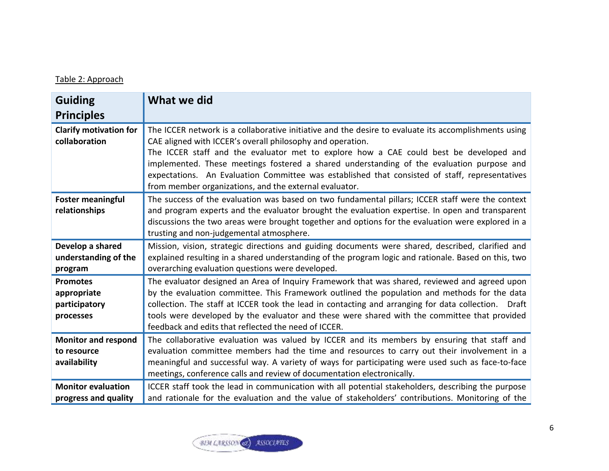## Table 2: Approach

| <b>Guiding</b>                                               | What we did                                                                                                                                                                                                                                                                                                                                                                                                                                                                                                           |
|--------------------------------------------------------------|-----------------------------------------------------------------------------------------------------------------------------------------------------------------------------------------------------------------------------------------------------------------------------------------------------------------------------------------------------------------------------------------------------------------------------------------------------------------------------------------------------------------------|
| <b>Principles</b>                                            |                                                                                                                                                                                                                                                                                                                                                                                                                                                                                                                       |
| <b>Clarify motivation for</b><br>collaboration               | The ICCER network is a collaborative initiative and the desire to evaluate its accomplishments using<br>CAE aligned with ICCER's overall philosophy and operation.<br>The ICCER staff and the evaluator met to explore how a CAE could best be developed and<br>implemented. These meetings fostered a shared understanding of the evaluation purpose and<br>expectations. An Evaluation Committee was established that consisted of staff, representatives<br>from member organizations, and the external evaluator. |
| <b>Foster meaningful</b><br>relationships                    | The success of the evaluation was based on two fundamental pillars; ICCER staff were the context<br>and program experts and the evaluator brought the evaluation expertise. In open and transparent<br>discussions the two areas were brought together and options for the evaluation were explored in a<br>trusting and non-judgemental atmosphere.                                                                                                                                                                  |
| Develop a shared<br>understanding of the<br>program          | Mission, vision, strategic directions and guiding documents were shared, described, clarified and<br>explained resulting in a shared understanding of the program logic and rationale. Based on this, two<br>overarching evaluation questions were developed.                                                                                                                                                                                                                                                         |
| <b>Promotes</b><br>appropriate<br>participatory<br>processes | The evaluator designed an Area of Inquiry Framework that was shared, reviewed and agreed upon<br>by the evaluation committee. This Framework outlined the population and methods for the data<br>collection. The staff at ICCER took the lead in contacting and arranging for data collection.  Draft<br>tools were developed by the evaluator and these were shared with the committee that provided<br>feedback and edits that reflected the need of ICCER.                                                         |
| <b>Monitor and respond</b><br>to resource<br>availability    | The collaborative evaluation was valued by ICCER and its members by ensuring that staff and<br>evaluation committee members had the time and resources to carry out their involvement in a<br>meaningful and successful way. A variety of ways for participating were used such as face-to-face<br>meetings, conference calls and review of documentation electronically.                                                                                                                                             |
| <b>Monitor evaluation</b><br>progress and quality            | ICCER staff took the lead in communication with all potential stakeholders, describing the purpose<br>and rationale for the evaluation and the value of stakeholders' contributions. Monitoring of the                                                                                                                                                                                                                                                                                                                |

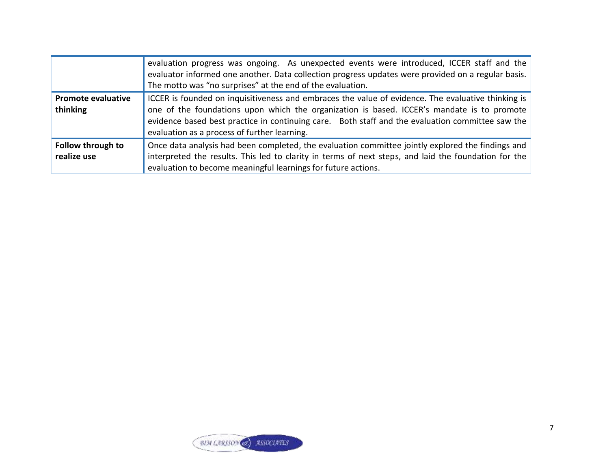|                                       | evaluation progress was ongoing. As unexpected events were introduced, ICCER staff and the<br>evaluator informed one another. Data collection progress updates were provided on a regular basis.<br>The motto was "no surprises" at the end of the evaluation.                                                                                       |
|---------------------------------------|------------------------------------------------------------------------------------------------------------------------------------------------------------------------------------------------------------------------------------------------------------------------------------------------------------------------------------------------------|
| <b>Promote evaluative</b><br>thinking | ICCER is founded on inquisitiveness and embraces the value of evidence. The evaluative thinking is<br>one of the foundations upon which the organization is based. ICCER's mandate is to promote<br>evidence based best practice in continuing care. Both staff and the evaluation committee saw the<br>evaluation as a process of further learning. |
| Follow through to<br>realize use      | Once data analysis had been completed, the evaluation committee jointly explored the findings and<br>interpreted the results. This led to clarity in terms of next steps, and laid the foundation for the<br>evaluation to become meaningful learnings for future actions.                                                                           |

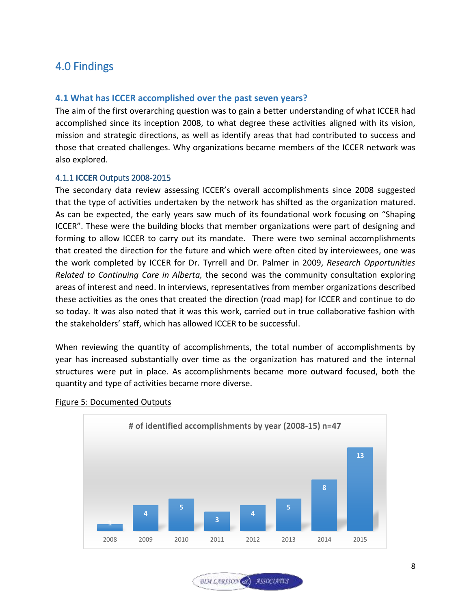## <span id="page-11-0"></span>4.0 Findings

## <span id="page-11-1"></span>**4.1 What has ICCER accomplished over the past seven years?**

The aim of the first overarching question was to gain a better understanding of what ICCER had accomplished since its inception 2008, to what degree these activities aligned with its vision, mission and strategic directions, as well as identify areas that had contributed to success and those that created challenges. Why organizations became members of the ICCER network was also explored.

#### <span id="page-11-2"></span>4.1.1 **ICCER** Outputs 2008-2015

The secondary data review assessing ICCER's overall accomplishments since 2008 suggested that the type of activities undertaken by the network has shifted as the organization matured. As can be expected, the early years saw much of its foundational work focusing on "Shaping ICCER". These were the building blocks that member organizations were part of designing and forming to allow ICCER to carry out its mandate. There were two seminal accomplishments that created the direction for the future and which were often cited by interviewees, one was the work completed by ICCER for Dr. Tyrrell and Dr. Palmer in 2009, *Research Opportunities Related to Continuing Care in Alberta,* the second was the community consultation exploring areas of interest and need. In interviews, representatives from member organizations described these activities as the ones that created the direction (road map) for ICCER and continue to do so today. It was also noted that it was this work, carried out in true collaborative fashion with the stakeholders' staff, which has allowed ICCER to be successful.

When reviewing the quantity of accomplishments, the total number of accomplishments by year has increased substantially over time as the organization has matured and the internal structures were put in place. As accomplishments became more outward focused, both the quantity and type of activities became more diverse.



#### Figure 5: Documented Outputs

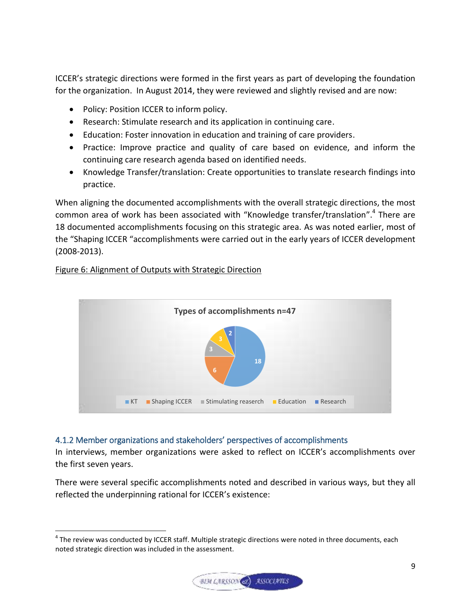ICCER's strategic directions were formed in the first years as part of developing the foundation for the organization. In August 2014, they were reviewed and slightly revised and are now:

- Policy: Position ICCER to inform policy.
- Research: Stimulate research and its application in continuing care.
- Education: Foster innovation in education and training of care providers.
- Practice: Improve practice and quality of care based on evidence, and inform the continuing care research agenda based on identified needs.
- Knowledge Transfer/translation: Create opportunities to translate research findings into practice.

When aligning the documented accomplishments with the overall strategic directions, the most common area of work has been associated with "Knowledge transfer/translation".<sup>4</sup> There are 18 documented accomplishments focusing on this strategic area. As was noted earlier, most of the "Shaping ICCER "accomplishments were carried out in the early years of ICCER development (2008-2013).

## Figure 6: Alignment of Outputs with Strategic Direction

l



## <span id="page-12-0"></span>4.1.2 Member organizations and stakeholders' perspectives of accomplishments

In interviews, member organizations were asked to reflect on ICCER's accomplishments over the first seven years.

There were several specific accomplishments noted and described in various ways, but they all reflected the underpinning rational for ICCER's existence:

 $^4$  The review was conducted by ICCER staff. Multiple strategic directions were noted in three documents, each noted strategic direction was included in the assessment.

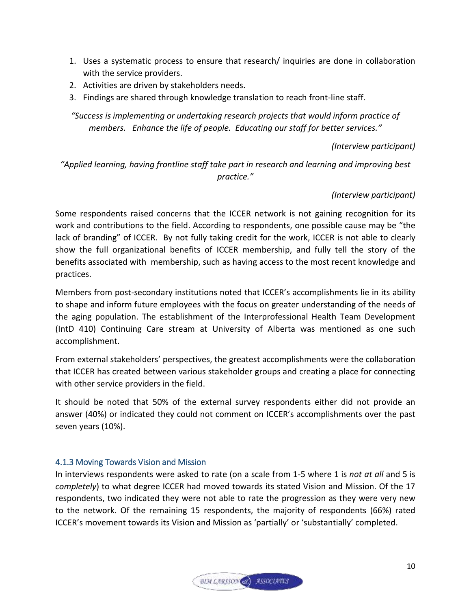- 1. Uses a systematic process to ensure that research/ inquiries are done in collaboration with the service providers.
- 2. Activities are driven by stakeholders needs.
- 3. Findings are shared through knowledge translation to reach front-line staff.

*"Success is implementing or undertaking research projects that would inform practice of members. Enhance the life of people. Educating our staff for better services."*

#### *(Interview participant)*

*"Applied learning, having frontline staff take part in research and learning and improving best practice."* 

### *(Interview participant)*

Some respondents raised concerns that the ICCER network is not gaining recognition for its work and contributions to the field. According to respondents, one possible cause may be "the lack of branding" of ICCER. By not fully taking credit for the work, ICCER is not able to clearly show the full organizational benefits of ICCER membership, and fully tell the story of the benefits associated with membership, such as having access to the most recent knowledge and practices.

Members from post-secondary institutions noted that ICCER's accomplishments lie in its ability to shape and inform future employees with the focus on greater understanding of the needs of the aging population. The establishment of the Interprofessional Health Team Development (IntD 410) Continuing Care stream at University of Alberta was mentioned as one such accomplishment.

From external stakeholders' perspectives, the greatest accomplishments were the collaboration that ICCER has created between various stakeholder groups and creating a place for connecting with other service providers in the field.

It should be noted that 50% of the external survey respondents either did not provide an answer (40%) or indicated they could not comment on ICCER's accomplishments over the past seven years (10%).

## <span id="page-13-0"></span>4.1.3 Moving Towards Vision and Mission

In interviews respondents were asked to rate (on a scale from 1-5 where 1 is *not at all* and 5 is *completely*) to what degree ICCER had moved towards its stated Vision and Mission. Of the 17 respondents, two indicated they were not able to rate the progression as they were very new to the network. Of the remaining 15 respondents, the majority of respondents (66%) rated ICCER's movement towards its Vision and Mission as 'partially' or 'substantially' completed.

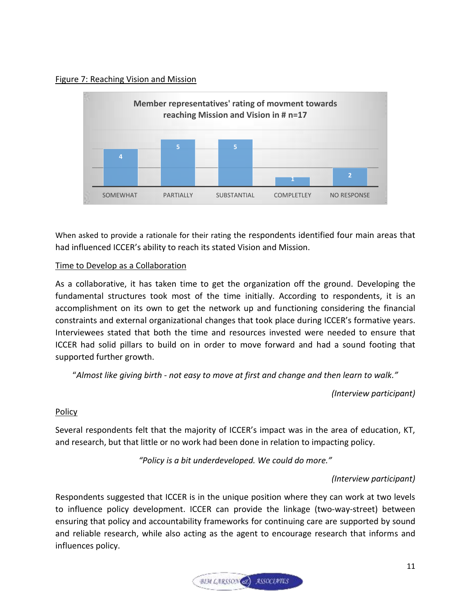### Figure 7: Reaching Vision and Mission



When asked to provide a rationale for their rating the respondents identified four main areas that had influenced ICCER's ability to reach its stated Vision and Mission.

## Time to Develop as a Collaboration

As a collaborative, it has taken time to get the organization off the ground. Developing the fundamental structures took most of the time initially. According to respondents, it is an accomplishment on its own to get the network up and functioning considering the financial constraints and external organizational changes that took place during ICCER's formative years. Interviewees stated that both the time and resources invested were needed to ensure that ICCER had solid pillars to build on in order to move forward and had a sound footing that supported further growth.

"*Almost like giving birth - not easy to move at first and change and then learn to walk."*

*(Interview participant)*

## Policy

Several respondents felt that the majority of ICCER's impact was in the area of education, KT, and research, but that little or no work had been done in relation to impacting policy.

*"Policy is a bit underdeveloped. We could do more."*

## *(Interview participant)*

Respondents suggested that ICCER is in the unique position where they can work at two levels to influence policy development. ICCER can provide the linkage (two-way-street) between ensuring that policy and accountability frameworks for continuing care are supported by sound and reliable research, while also acting as the agent to encourage research that informs and influences policy.

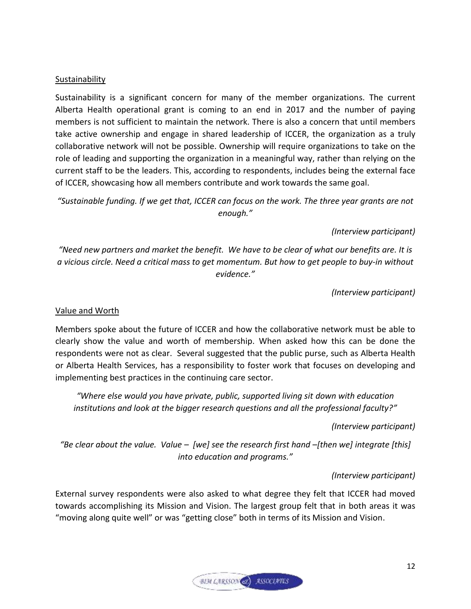#### **Sustainability**

Sustainability is a significant concern for many of the member organizations. The current Alberta Health operational grant is coming to an end in 2017 and the number of paying members is not sufficient to maintain the network. There is also a concern that until members take active ownership and engage in shared leadership of ICCER, the organization as a truly collaborative network will not be possible. Ownership will require organizations to take on the role of leading and supporting the organization in a meaningful way, rather than relying on the current staff to be the leaders. This, according to respondents, includes being the external face of ICCER, showcasing how all members contribute and work towards the same goal.

*"Sustainable funding. If we get that, ICCER can focus on the work. The three year grants are not enough."*

*(Interview participant)*

*"Need new partners and market the benefit. We have to be clear of what our benefits are. It is a vicious circle. Need a critical mass to get momentum. But how to get people to buy-in without evidence."* 

*(Interview participant)*

#### Value and Worth

Members spoke about the future of ICCER and how the collaborative network must be able to clearly show the value and worth of membership. When asked how this can be done the respondents were not as clear. Several suggested that the public purse, such as Alberta Health or Alberta Health Services, has a responsibility to foster work that focuses on developing and implementing best practices in the continuing care sector.

*"Where else would you have private, public, supported living sit down with education institutions and look at the bigger research questions and all the professional faculty?"*

*(Interview participant)*

*"Be clear about the value. Value – [we] see the research first hand –[then we] integrate [this] into education and programs."*

#### *(Interview participant)*

External survey respondents were also asked to what degree they felt that ICCER had moved towards accomplishing its Mission and Vision. The largest group felt that in both areas it was "moving along quite well" or was "getting close" both in terms of its Mission and Vision.

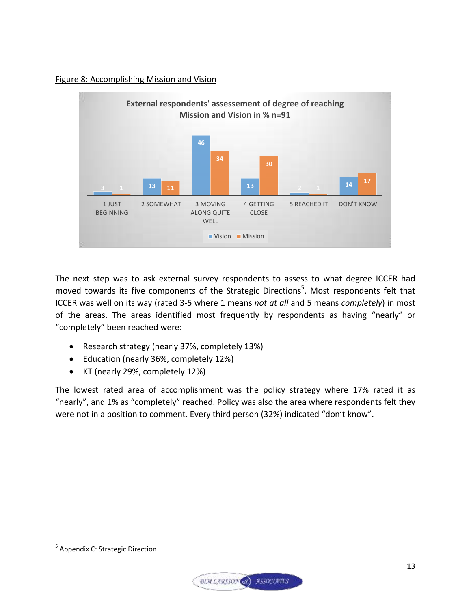### Figure 8: Accomplishing Mission and Vision



The next step was to ask external survey respondents to assess to what degree ICCER had moved towards its five components of the Strategic Directions<sup>5</sup>. Most respondents felt that ICCER was well on its way (rated 3-5 where 1 means *not at all* and 5 means *completely*) in most of the areas. The areas identified most frequently by respondents as having "nearly" or "completely" been reached were:

- Research strategy (nearly 37%, completely 13%)
- Education (nearly 36%, completely 12%)
- KT (nearly 29%, completely 12%)

The lowest rated area of accomplishment was the policy strategy where 17% rated it as "nearly", and 1% as "completely" reached. Policy was also the area where respondents felt they were not in a position to comment. Every third person (32%) indicated "don't know".

 $\overline{\phantom{a}}$ 



<sup>&</sup>lt;sup>5</sup> Appendix C: Strategic Direction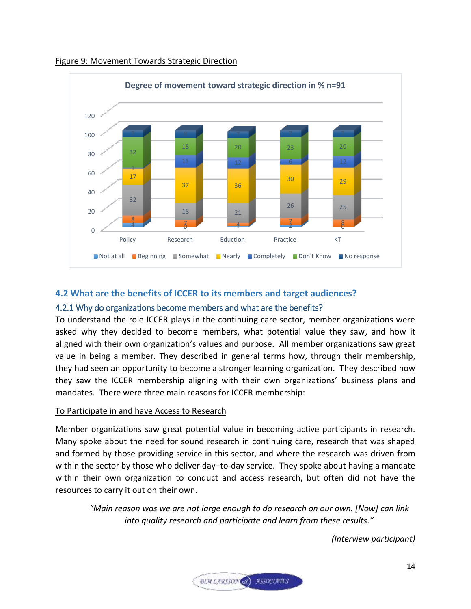

#### Figure 9: Movement Towards Strategic Direction

## <span id="page-17-0"></span>**4.2 What are the benefits of ICCER to its members and target audiences?**

#### <span id="page-17-1"></span>4.2.1 Why do organizations become members and what are the benefits?

To understand the role ICCER plays in the continuing care sector, member organizations were asked why they decided to become members, what potential value they saw, and how it aligned with their own organization's values and purpose. All member organizations saw great value in being a member. They described in general terms how, through their membership, they had seen an opportunity to become a stronger learning organization. They described how they saw the ICCER membership aligning with their own organizations' business plans and mandates. There were three main reasons for ICCER membership:

#### To Participate in and have Access to Research

Member organizations saw great potential value in becoming active participants in research. Many spoke about the need for sound research in continuing care, research that was shaped and formed by those providing service in this sector, and where the research was driven from within the sector by those who deliver day–to-day service. They spoke about having a mandate within their own organization to conduct and access research, but often did not have the resources to carry it out on their own.

*"Main reason was we are not large enough to do research on our own. [Now] can link into quality research and participate and learn from these results."* 

*(Interview participant)*

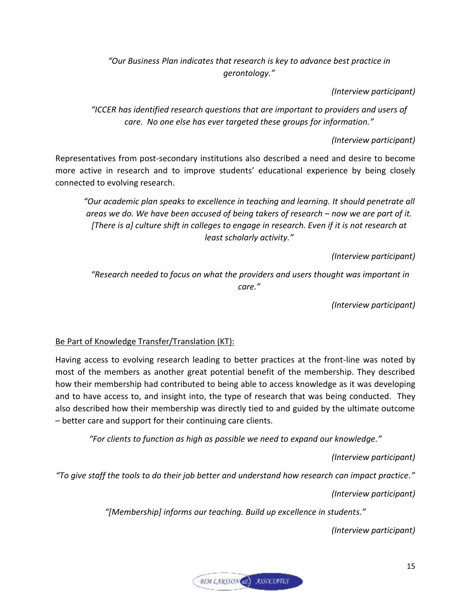*"Our Business Plan indicates that research is key to advance best practice in gerontology."*

*(Interview participant)*

*"ICCER has identified research questions that are important to providers and users of care. No one else has ever targeted these groups for information."*

*(Interview participant)*

Representatives from post-secondary institutions also described a need and desire to become more active in research and to improve students' educational experience by being closely connected to evolving research.

*"Our academic plan speaks to excellence in teaching and learning. It should penetrate all areas we do. We have been accused of being takers of research – now we are part of it. [There is a] culture shift in colleges to engage in research. Even if it is not research at least scholarly activity."*

*(Interview participant)*

*"Research needed to focus on what the providers and users thought was important in care."*

*(Interview participant)*

Be Part of Knowledge Transfer/Translation (KT):

Having access to evolving research leading to better practices at the front-line was noted by most of the members as another great potential benefit of the membership. They described how their membership had contributed to being able to access knowledge as it was developing and to have access to, and insight into, the type of research that was being conducted. They also described how their membership was directly tied to and guided by the ultimate outcome – better care and support for their continuing care clients.

*"For clients to function as high as possible we need to expand our knowledge."*

*(Interview participant)*

*"To give staff the tools to do their job better and understand how research can impact practice."*

*(Interview participant)*

*"[Membership] informs our teaching. Build up excellence in students."*

*(Interview participant)*

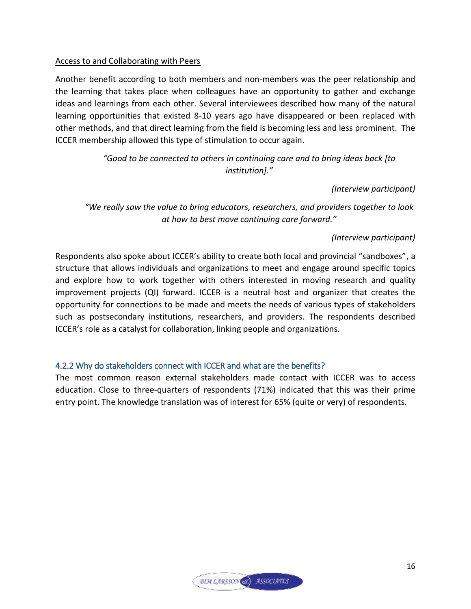### Access to and Collaborating with Peers

Another benefit according to both members and non-members was the peer relationship and the learning that takes place when colleagues have an opportunity to gather and exchange ideas and learnings from each other. Several interviewees described how many of the natural learning opportunities that existed 8-10 years ago have disappeared or been replaced with other methods, and that direct learning from the field is becoming less and less prominent. The ICCER membership allowed this type of stimulation to occur again.

## *"Good to be connected to others in continuing care and to bring ideas back [to institution]."*

## *(Interview participant)*

*"We really saw the value to bring educators, researchers, and providers together to look at how to best move continuing care forward."*

## *(Interview participant)*

Respondents also spoke about ICCER's ability to create both local and provincial "sandboxes", a structure that allows individuals and organizations to meet and engage around specific topics and explore how to work together with others interested in moving research and quality improvement projects (QI) forward. ICCER is a neutral host and organizer that creates the opportunity for connections to be made and meets the needs of various types of stakeholders such as postsecondary institutions, researchers, and providers. The respondents described ICCER's role as a catalyst for collaboration, linking people and organizations.

## <span id="page-19-0"></span>4.2.2 Why do stakeholders connect with ICCER and what are the benefits?

The most common reason external stakeholders made contact with ICCER was to access education. Close to three-quarters of respondents (71%) indicated that this was their prime entry point. The knowledge translation was of interest for 65% (quite or very) of respondents.

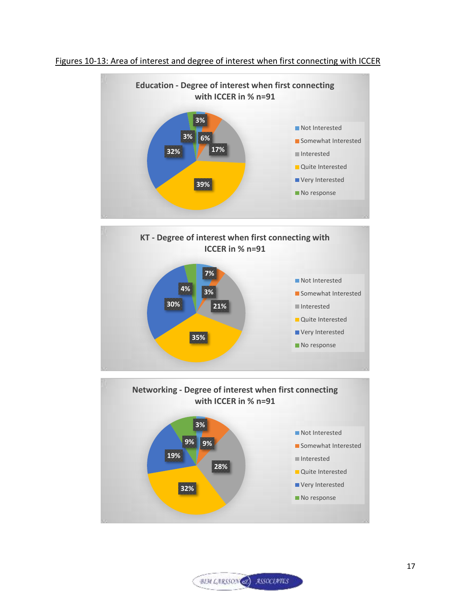

#### Figures 10-13: Area of interest and degree of interest when first connecting with ICCER



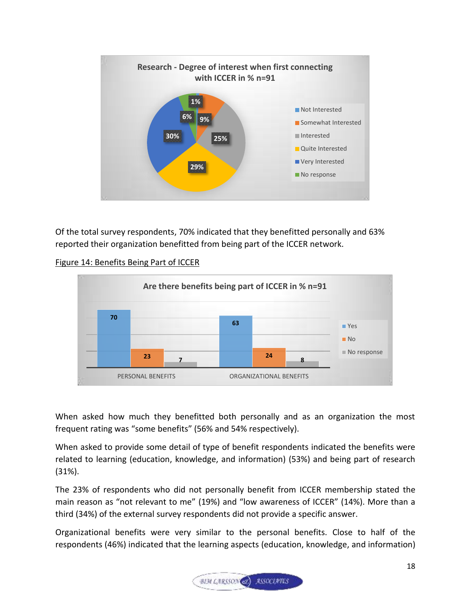

Of the total survey respondents, 70% indicated that they benefitted personally and 63% reported their organization benefitted from being part of the ICCER network.

### Figure 14: Benefits Being Part of ICCER



When asked how much they benefitted both personally and as an organization the most frequent rating was "some benefits" (56% and 54% respectively).

When asked to provide some detail of type of benefit respondents indicated the benefits were related to learning (education, knowledge, and information) (53%) and being part of research (31%).

The 23% of respondents who did not personally benefit from ICCER membership stated the main reason as "not relevant to me" (19%) and "low awareness of ICCER" (14%). More than a third (34%) of the external survey respondents did not provide a specific answer.

Organizational benefits were very similar to the personal benefits. Close to half of the respondents (46%) indicated that the learning aspects (education, knowledge, and information)

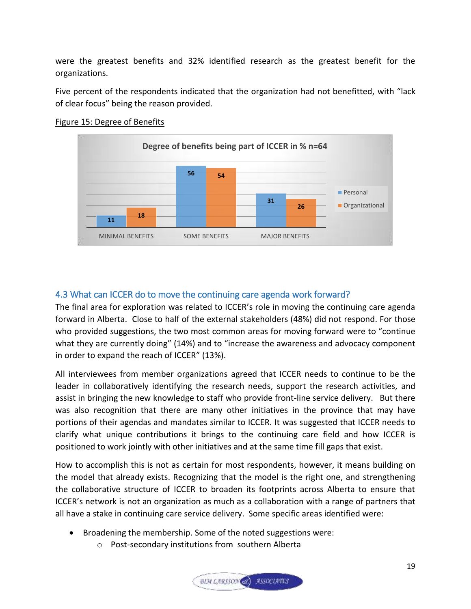were the greatest benefits and 32% identified research as the greatest benefit for the organizations.

Five percent of the respondents indicated that the organization had not benefitted, with "lack of clear focus" being the reason provided.



#### Figure 15: Degree of Benefits

## <span id="page-22-0"></span>4.3 What can ICCER do to move the continuing care agenda work forward?

The final area for exploration was related to ICCER's role in moving the continuing care agenda forward in Alberta. Close to half of the external stakeholders (48%) did not respond. For those who provided suggestions, the two most common areas for moving forward were to "continue what they are currently doing" (14%) and to "increase the awareness and advocacy component in order to expand the reach of ICCER" (13%).

All interviewees from member organizations agreed that ICCER needs to continue to be the leader in collaboratively identifying the research needs, support the research activities, and assist in bringing the new knowledge to staff who provide front-line service delivery. But there was also recognition that there are many other initiatives in the province that may have portions of their agendas and mandates similar to ICCER. It was suggested that ICCER needs to clarify what unique contributions it brings to the continuing care field and how ICCER is positioned to work jointly with other initiatives and at the same time fill gaps that exist.

How to accomplish this is not as certain for most respondents, however, it means building on the model that already exists. Recognizing that the model is the right one, and strengthening the collaborative structure of ICCER to broaden its footprints across Alberta to ensure that ICCER's network is not an organization as much as a collaboration with a range of partners that all have a stake in continuing care service delivery. Some specific areas identified were:

- Broadening the membership. Some of the noted suggestions were:
	- o Post-secondary institutions from southern Alberta

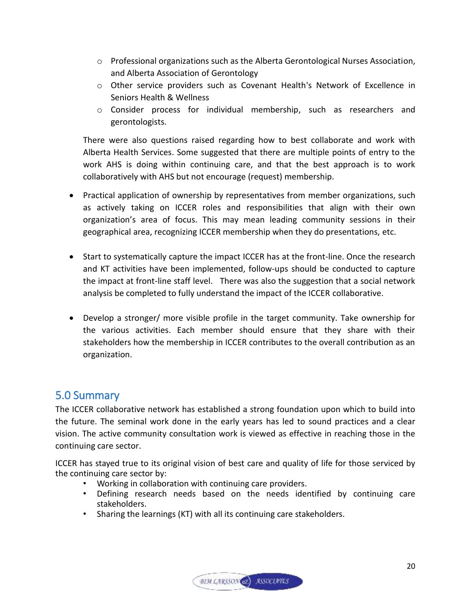- $\circ$  Professional organizations such as the Alberta Gerontological Nurses Association, and Alberta Association of Gerontology
- o Other service providers such as Covenant Health's Network of Excellence in Seniors Health & Wellness
- o Consider process for individual membership, such as researchers and gerontologists.

There were also questions raised regarding how to best collaborate and work with Alberta Health Services. Some suggested that there are multiple points of entry to the work AHS is doing within continuing care, and that the best approach is to work collaboratively with AHS but not encourage (request) membership.

- Practical application of ownership by representatives from member organizations, such as actively taking on ICCER roles and responsibilities that align with their own organization's area of focus. This may mean leading community sessions in their geographical area, recognizing ICCER membership when they do presentations, etc.
- Start to systematically capture the impact ICCER has at the front-line. Once the research and KT activities have been implemented, follow-ups should be conducted to capture the impact at front-line staff level. There was also the suggestion that a social network analysis be completed to fully understand the impact of the ICCER collaborative.
- Develop a stronger/ more visible profile in the target community. Take ownership for the various activities. Each member should ensure that they share with their stakeholders how the membership in ICCER contributes to the overall contribution as an organization.

## <span id="page-23-0"></span>5.0 Summary

The ICCER collaborative network has established a strong foundation upon which to build into the future. The seminal work done in the early years has led to sound practices and a clear vision. The active community consultation work is viewed as effective in reaching those in the continuing care sector.

ICCER has stayed true to its original vision of best care and quality of life for those serviced by the continuing care sector by:

- Working in collaboration with continuing care providers.
- Defining research needs based on the needs identified by continuing care stakeholders.
- Sharing the learnings (KT) with all its continuing care stakeholders.

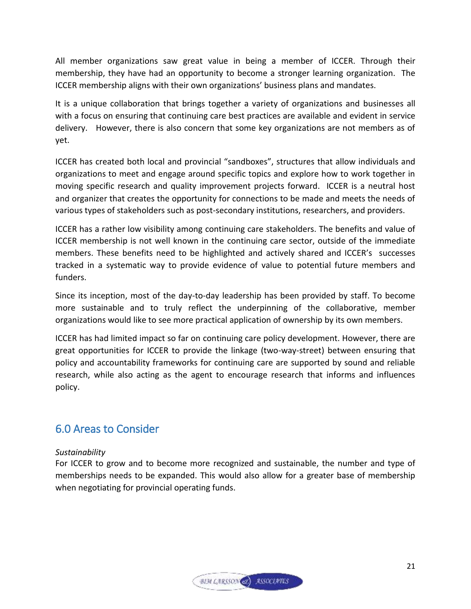All member organizations saw great value in being a member of ICCER. Through their membership, they have had an opportunity to become a stronger learning organization. The ICCER membership aligns with their own organizations' business plans and mandates.

It is a unique collaboration that brings together a variety of organizations and businesses all with a focus on ensuring that continuing care best practices are available and evident in service delivery. However, there is also concern that some key organizations are not members as of yet.

ICCER has created both local and provincial "sandboxes", structures that allow individuals and organizations to meet and engage around specific topics and explore how to work together in moving specific research and quality improvement projects forward. ICCER is a neutral host and organizer that creates the opportunity for connections to be made and meets the needs of various types of stakeholders such as post-secondary institutions, researchers, and providers.

ICCER has a rather low visibility among continuing care stakeholders. The benefits and value of ICCER membership is not well known in the continuing care sector, outside of the immediate members. These benefits need to be highlighted and actively shared and ICCER's successes tracked in a systematic way to provide evidence of value to potential future members and funders.

Since its inception, most of the day-to-day leadership has been provided by staff. To become more sustainable and to truly reflect the underpinning of the collaborative, member organizations would like to see more practical application of ownership by its own members.

ICCER has had limited impact so far on continuing care policy development. However, there are great opportunities for ICCER to provide the linkage (two-way-street) between ensuring that policy and accountability frameworks for continuing care are supported by sound and reliable research, while also acting as the agent to encourage research that informs and influences policy.

## <span id="page-24-0"></span>6.0 Areas to Consider

## *Sustainability*

For ICCER to grow and to become more recognized and sustainable, the number and type of memberships needs to be expanded. This would also allow for a greater base of membership when negotiating for provincial operating funds.

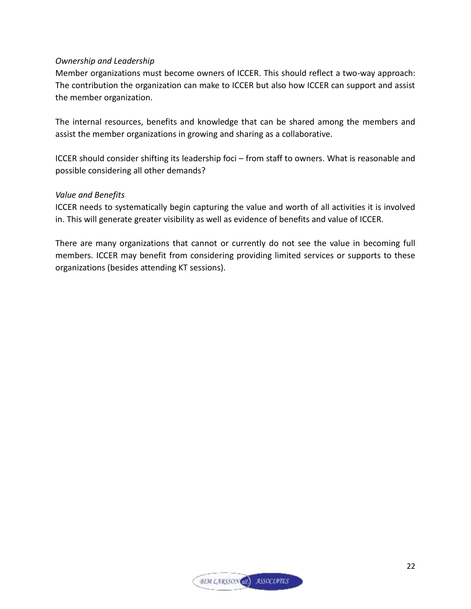#### *Ownership and Leadership*

Member organizations must become owners of ICCER. This should reflect a two-way approach: The contribution the organization can make to ICCER but also how ICCER can support and assist the member organization.

The internal resources, benefits and knowledge that can be shared among the members and assist the member organizations in growing and sharing as a collaborative.

ICCER should consider shifting its leadership foci – from staff to owners. What is reasonable and possible considering all other demands?

#### *Value and Benefits*

ICCER needs to systematically begin capturing the value and worth of all activities it is involved in. This will generate greater visibility as well as evidence of benefits and value of ICCER.

There are many organizations that cannot or currently do not see the value in becoming full members. ICCER may benefit from considering providing limited services or supports to these organizations (besides attending KT sessions).

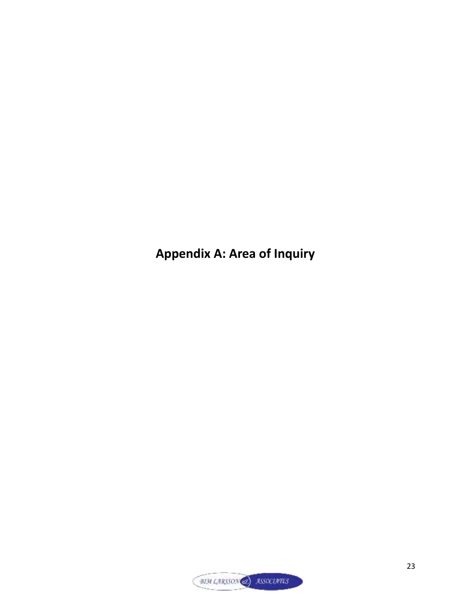**Appendix A: Area of Inquiry** 

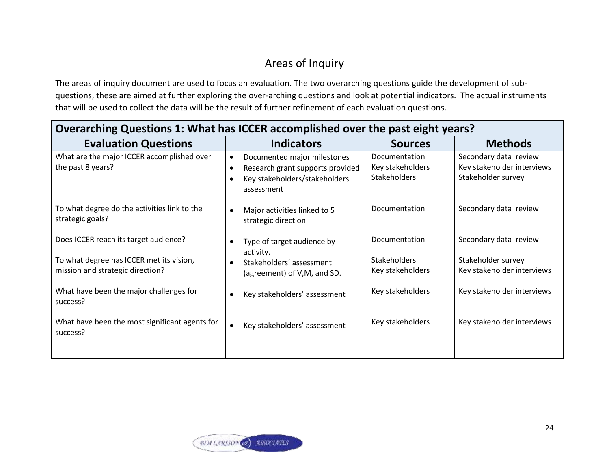## Areas of Inquiry

The areas of inquiry document are used to focus an evaluation. The two overarching questions guide the development of subquestions, these are aimed at further exploring the over-arching questions and look at potential indicators. The actual instruments that will be used to collect the data will be the result of further refinement of each evaluation questions.

| Overarching Questions 1: What has ICCER accomplished over the past eight years?                                                                                                                                                |                                                                                                                                                                                 |                                                                                                  |                                                                                                                                       |
|--------------------------------------------------------------------------------------------------------------------------------------------------------------------------------------------------------------------------------|---------------------------------------------------------------------------------------------------------------------------------------------------------------------------------|--------------------------------------------------------------------------------------------------|---------------------------------------------------------------------------------------------------------------------------------------|
| <b>Evaluation Questions</b>                                                                                                                                                                                                    | <b>Indicators</b>                                                                                                                                                               | <b>Sources</b>                                                                                   | <b>Methods</b>                                                                                                                        |
| What are the major ICCER accomplished over<br>the past 8 years?                                                                                                                                                                | Documented major milestones<br>$\bullet$<br>Research grant supports provided<br>$\bullet$<br>Key stakeholders/stakeholders<br>$\bullet$<br>assessment                           | Documentation<br>Key stakeholders<br><b>Stakeholders</b>                                         | Secondary data review<br>Key stakeholder interviews<br>Stakeholder survey                                                             |
| To what degree do the activities link to the<br>strategic goals?                                                                                                                                                               | Major activities linked to 5<br>strategic direction                                                                                                                             | Documentation                                                                                    | Secondary data review                                                                                                                 |
| Does ICCER reach its target audience?<br>To what degree has ICCER met its vision,<br>mission and strategic direction?<br>What have been the major challenges for<br>success?<br>What have been the most significant agents for | Type of target audience by<br>activity.<br>Stakeholders' assessment<br>(agreement) of V,M, and SD.<br>Key stakeholders' assessment<br>Key stakeholders' assessment<br>$\bullet$ | Documentation<br><b>Stakeholders</b><br>Key stakeholders<br>Key stakeholders<br>Key stakeholders | Secondary data review<br>Stakeholder survey<br>Key stakeholder interviews<br>Key stakeholder interviews<br>Key stakeholder interviews |
| success?                                                                                                                                                                                                                       |                                                                                                                                                                                 |                                                                                                  |                                                                                                                                       |

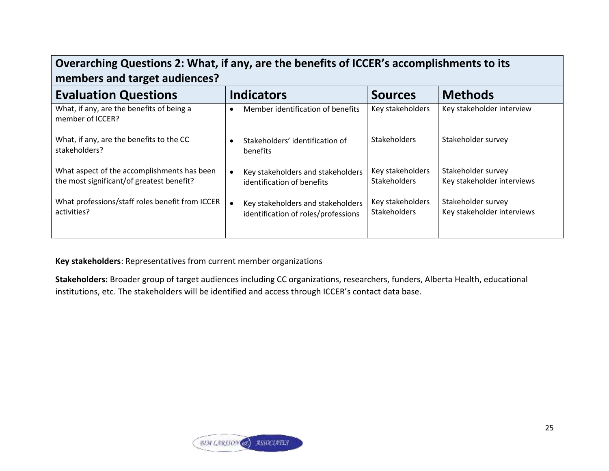| Overarching Questions 2: What, if any, are the benefits of ICCER's accomplishments to its<br>members and target audiences? |                                                                                       |                                         |                                                  |
|----------------------------------------------------------------------------------------------------------------------------|---------------------------------------------------------------------------------------|-----------------------------------------|--------------------------------------------------|
| <b>Evaluation Questions</b>                                                                                                | <b>Indicators</b>                                                                     | <b>Sources</b>                          | <b>Methods</b>                                   |
| What, if any, are the benefits of being a<br>member of ICCER?                                                              | Member identification of benefits<br>$\bullet$                                        | Key stakeholders                        | Key stakeholder interview                        |
| What, if any, are the benefits to the CC<br>stakeholders?                                                                  | Stakeholders' identification of<br>$\bullet$<br><b>benefits</b>                       | <b>Stakeholders</b>                     | Stakeholder survey                               |
| What aspect of the accomplishments has been<br>the most significant/of greatest benefit?                                   | Key stakeholders and stakeholders<br>$\bullet$<br>identification of benefits          | Key stakeholders<br><b>Stakeholders</b> | Stakeholder survey<br>Key stakeholder interviews |
| What professions/staff roles benefit from ICCER<br>activities?                                                             | Key stakeholders and stakeholders<br>$\bullet$<br>identification of roles/professions | Key stakeholders<br><b>Stakeholders</b> | Stakeholder survey<br>Key stakeholder interviews |

**Key stakeholders**: Representatives from current member organizations

**Stakeholders:** Broader group of target audiences including CC organizations, researchers, funders, Alberta Health, educational institutions, etc. The stakeholders will be identified and access through ICCER's contact data base.

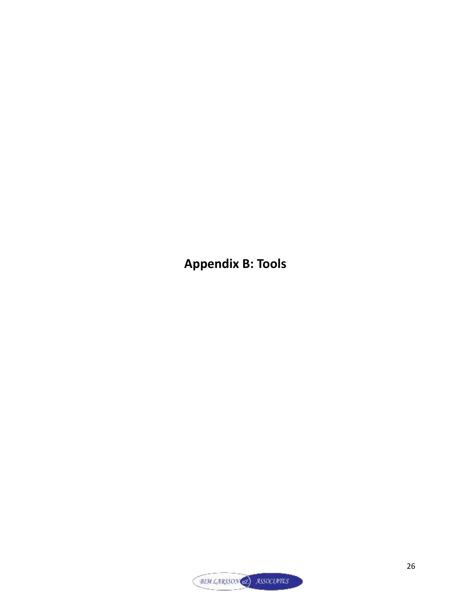**Appendix B: Tools** 

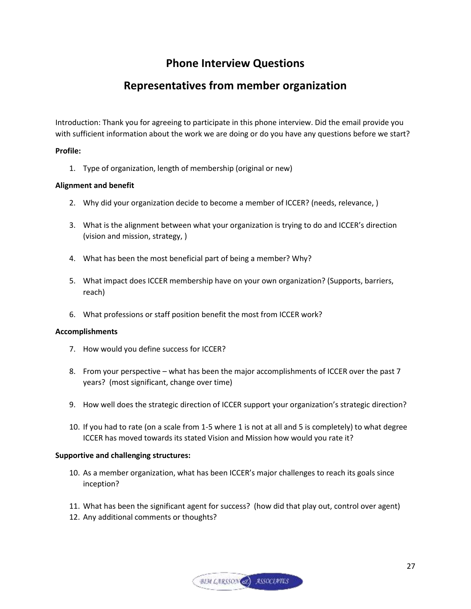## **Phone Interview Questions**

## **Representatives from member organization**

Introduction: Thank you for agreeing to participate in this phone interview. Did the email provide you with sufficient information about the work we are doing or do you have any questions before we start?

#### **Profile:**

1. Type of organization, length of membership (original or new)

#### **Alignment and benefit**

- 2. Why did your organization decide to become a member of ICCER? (needs, relevance, )
- 3. What is the alignment between what your organization is trying to do and ICCER's direction (vision and mission, strategy, )
- 4. What has been the most beneficial part of being a member? Why?
- 5. What impact does ICCER membership have on your own organization? (Supports, barriers, reach)
- 6. What professions or staff position benefit the most from ICCER work?

#### **Accomplishments**

- 7. How would you define success for ICCER?
- 8. From your perspective what has been the major accomplishments of ICCER over the past 7 years? (most significant, change over time)
- 9. How well does the strategic direction of ICCER support your organization's strategic direction?
- 10. If you had to rate (on a scale from 1-5 where 1 is not at all and 5 is completely) to what degree ICCER has moved towards its stated Vision and Mission how would you rate it?

#### **Supportive and challenging structures:**

- 10. As a member organization, what has been ICCER's major challenges to reach its goals since inception?
- 11. What has been the significant agent for success? (how did that play out, control over agent)
- 12. Any additional comments or thoughts?

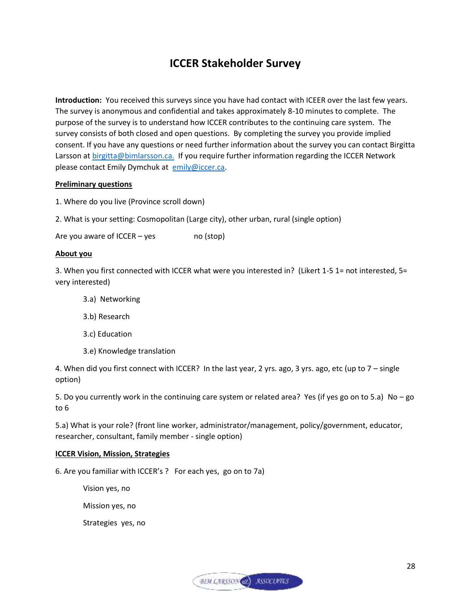## **ICCER Stakeholder Survey**

**Introduction:** You received this surveys since you have had contact with ICEER over the last few years. The survey is anonymous and confidential and takes approximately 8-10 minutes to complete. The purpose of the survey is to understand how ICCER contributes to the continuing care system. The survey consists of both closed and open questions. By completing the survey you provide implied consent. If you have any questions or need further information about the survey you can contact Birgitta Larsson at [birgitta@bimlarsson.ca.](mailto:birgitta@bimlarsson.ca) If you require further information regarding the ICCER Network please contact Emily Dymchuk at [emily@iccer.ca.](mailto:emily@iccer.ca)

#### **Preliminary questions**

- 1. Where do you live (Province scroll down)
- 2. What is your setting: Cosmopolitan (Large city), other urban, rural (single option)

Are you aware of  $ICCER - yes$  no  $(stop)$ 

#### **About you**

3. When you first connected with ICCER what were you interested in? (Likert 1-5 1= not interested, 5= very interested)

- 3.a) Networking
- 3.b) Research
- 3.c) Education
- 3.e) Knowledge translation

4. When did you first connect with ICCER? In the last year, 2 yrs. ago, 3 yrs. ago, etc (up to 7 – single option)

5. Do you currently work in the continuing care system or related area? Yes (if yes go on to 5.a) No – go to 6

5.a) What is your role? (front line worker, administrator/management, policy/government, educator, researcher, consultant, family member - single option)

#### **ICCER Vision, Mission, Strategies**

6. Are you familiar with ICCER's ? For each yes, go on to 7a)

Vision yes, no

Mission yes, no

Strategies yes, no

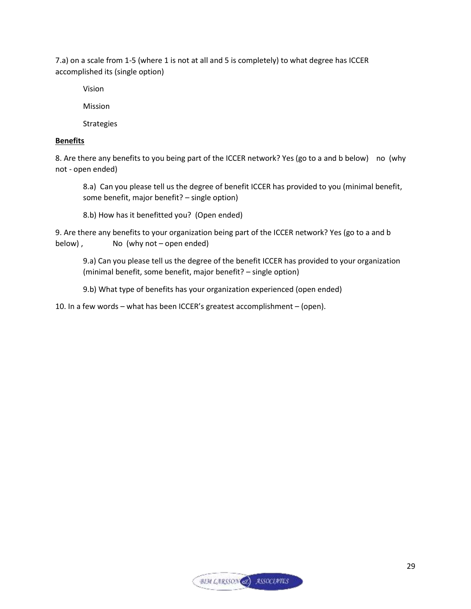7.a) on a scale from 1-5 (where 1 is not at all and 5 is completely) to what degree has ICCER accomplished its (single option)

Vision

Mission

**Strategies** 

#### **Benefits**

8. Are there any benefits to you being part of the ICCER network? Yes (go to a and b below) no (why not - open ended)

8.a) Can you please tell us the degree of benefit ICCER has provided to you (minimal benefit, some benefit, major benefit? – single option)

8.b) How has it benefitted you? (Open ended)

9. Are there any benefits to your organization being part of the ICCER network? Yes (go to a and b below), No (why not – open ended)

9.a) Can you please tell us the degree of the benefit ICCER has provided to your organization (minimal benefit, some benefit, major benefit? – single option)

9.b) What type of benefits has your organization experienced (open ended)

10. In a few words – what has been ICCER's greatest accomplishment – (open).

**BIM LARSSON** ASSOCIATES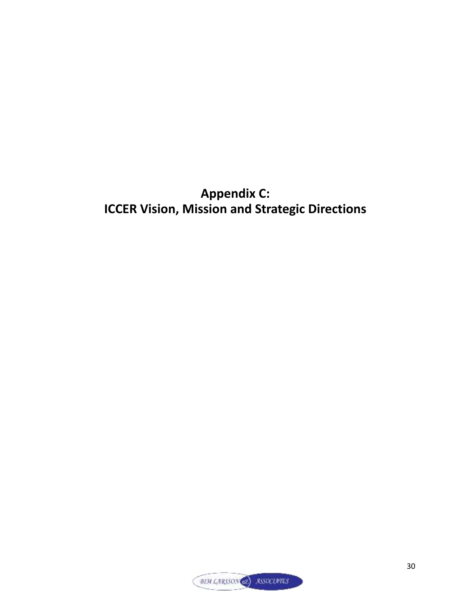## **Appendix C: ICCER Vision, Mission and Strategic Directions**